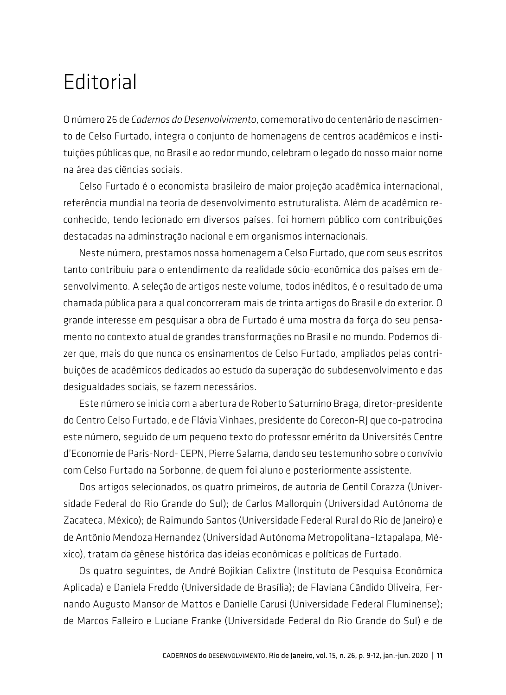## **Editorial**

O número 26 de *Cadernos do Desenvolvimento*, comemorativo do centenário de nascimento de Celso Furtado, integra o conjunto de homenagens de centros acadêmicos e instituições públicas que, no Brasil e ao redor mundo, celebram o legado do nosso maior nome na área das ciências sociais.

Celso Furtado é o economista brasileiro de maior projeção acadêmica internacional, referência mundial na teoria de desenvolvimento estruturalista. Além de acadêmico reconhecido, tendo lecionado em diversos países, foi homem público com contribuições destacadas na adminstração nacional e em organismos internacionais.

Neste número, prestamos nossa homenagem a Celso Furtado, que com seus escritos tanto contribuiu para o entendimento da realidade sócio-econômica dos países em desenvolvimento. A seleção de artigos neste volume, todos inéditos, é o resultado de uma chamada pública para a qual concorreram mais de trinta artigos do Brasil e do exterior. O grande interesse em pesquisar a obra de Furtado é uma mostra da força do seu pensamento no contexto atual de grandes transformações no Brasil e no mundo. Podemos dizer que, mais do que nunca os ensinamentos de Celso Furtado, ampliados pelas contribuições de acadêmicos dedicados ao estudo da superação do subdesenvolvimento e das desigualdades sociais, se fazem necessários.

Este número se inicia com a abertura de Roberto Saturnino Braga, diretor-presidente do Centro Celso Furtado, e de Flávia Vinhaes, presidente do Corecon-RJ que co-patrocina este número, seguido de um pequeno texto do professor emérito da Universités Centre d'Economie de Paris-Nord- CEPN, Pierre Salama, dando seu testemunho sobre o convívio com Celso Furtado na Sorbonne, de quem foi aluno e posteriormente assistente.

Dos artigos selecionados, os quatro primeiros, de autoria de Gentil Corazza (Universidade Federal do Rio Grande do Sul); de Carlos Mallorquin (Universidad Autónoma de Zacateca, México); de Raimundo Santos (Universidade Federal Rural do Rio de Janeiro) e de Antônio Mendoza Hernandez (Universidad Autónoma Metropolitana–Iztapalapa, México), tratam da gênese histórica das ideias econômicas e políticas de Furtado.

Os quatro seguintes, de André Bojikian Calixtre (Instituto de Pesquisa Econômica Aplicada) e Daniela Freddo (Universidade de Brasília); de Flaviana Cândido Oliveira, Fernando Augusto Mansor de Mattos e Danielle Carusi (Universidade Federal Fluminense); de Marcos Falleiro e Luciane Franke (Universidade Federal do Rio Grande do Sul) e de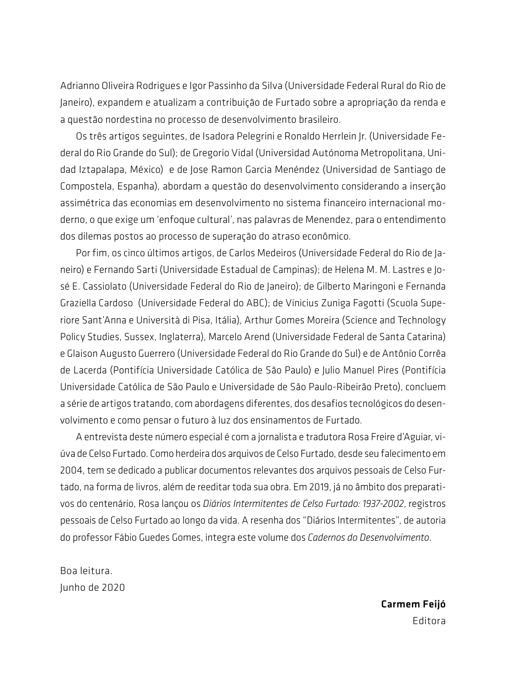Adrianno Oliveira Rodrigues e Igor Passinho da Silva (Universidade Federal Rural do Rio de Janeiro), expandem e atualizam a contribuição de Furtado sobre a apropriação da renda e a questão nordestina no processo de desenvolvimento brasileiro.

Os três artigos seguintes, de Isadora Pelegrini e Ronaldo Herrlein Jr. (Universidade Federal do Rio Grande do Sul); de Gregorio Vidal (Universidad Autónoma Metropolitana, Unidad Iztapalapa, México) e de Jose Ramon Garcia Menéndez (Universidad de Santiago de Compostela, Espanha), abordam a questão do desenvolvimento considerando a inserção assimétrica das economias em desenvolvimento no sistema financeiro internacional moderno, o que exige um 'enfoque cultural', nas palavras de Menendez, para o entendimento dos dilemas postos ao processo de superação do atraso econômico.

Por fim, os cinco últimos artigos, de Carlos Medeiros (Universidade Federal do Rio de Janeiro) e Fernando Sarti (Universidade Estadual de Campinas); de Helena M. M. Lastres e José E. Cassiolato (Universidade Federal do Rio de Janeiro); de Gilberto Maringoni e Fernanda Graziella Cardoso (Universidade Federal do ABC); de Vinicius Zuniga Fagotti (Scuola Superiore Sant'Anna e Università di Pisa, Itália), Arthur Gomes Moreira (Science and Technology Policy Studies, Sussex, Inglaterra), Marcelo Arend (Universidade Federal de Santa Catarina) e Glaison Augusto Guerrero (Universidade Federal do Rio Grande do Sul) e de Antônio Corrêa de Lacerda (Pontifícia Universidade Católica de São Paulo) e Julio Manuel Pires (Pontifícia Universidade Católica de São Paulo e Universidade de São Paulo-Ribeirão Preto), concluem a série de artigos tratando, com abordagens diferentes, dos desafios tecnológicos do desenvolvimento e como pensar o futuro à luz dos ensinamentos de Furtado.

A entrevista deste número especial é com a jornalista e tradutora Rosa Freire d'Aguiar, viúva de Celso Furtado. Como herdeira dos arquivos de Celso Furtado, desde seu falecimento em 2004, tem se dedicado a publicar documentos relevantes dos arquivos pessoais de Celso Furtado, na forma de livros, além de reeditar toda sua obra. Em 2019, já no âmbito dos preparativos do centenário, Rosa lançou os *Diários Intermitentes de Celso Furtado: 1937-2002*, registros pessoais de Celso Furtado ao longo da vida. A resenha dos "Diários Intermitentes", de autoria do professor Fábio Guedes Gomes, integra este volume dos *Cadernos do Desenvolvimento*.

Boa leitura. Junho de 2020

> Carmem Feijó Editora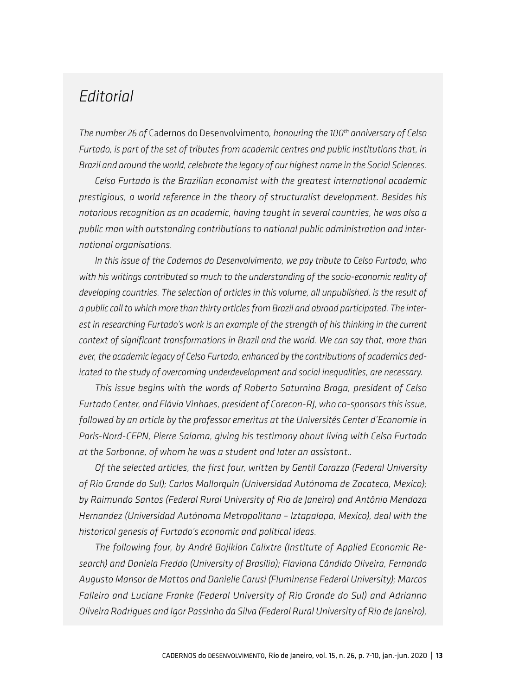## *Editorial*

*The number 26 of* Cadernos do Desenvolvimento*, honouring the 100th anniversary of Celso Furtado, is part of the set of tributes from academic centres and public institutions that, in Brazil and around the world, celebrate the legacy of our highest name in the Social Sciences.*

*Celso Furtado is the Brazilian economist with the greatest international academic prestigious, a world reference in the theory of structuralist development. Besides his notorious recognition as an academic, having taught in several countries, he was also a public man with outstanding contributions to national public administration and international organisations.*

*In this issue of the Cadernos do Desenvolvimento, we pay tribute to Celso Furtado, who with his writings contributed so much to the understanding of the socio-economic reality of developing countries. The selection of articles in this volume, all unpublished, is the result of a public call to which more than thirty articles from Brazil and abroad participated. The interest in researching Furtado's work is an example of the strength of his thinking in the current context of significant transformations in Brazil and the world. We can say that, more than ever, the academic legacy of Celso Furtado, enhanced by the contributions of academics dedicated to the study of overcoming underdevelopment and social inequalities, are necessary.*

*This issue begins with the words of Roberto Saturnino Braga, president of Celso Furtado Center, and Flávia Vinhaes, president of Corecon-RJ, who co-sponsors this issue, followed by an article by the professor emeritus at the Universités Center d'Economie in Paris-Nord-CEPN, Pierre Salama, giving his testimony about living with Celso Furtado at the Sorbonne, of whom he was a student and later an assistant..*

*Of the selected articles, the first four, written by Gentil Corazza (Federal University of Rio Grande do Sul); Carlos Mallorquin (Universidad Autónoma de Zacateca, Mexico); by Raimundo Santos (Federal Rural University of Rio de Janeiro) and Antônio Mendoza Hernandez (Universidad Autónoma Metropolitana – Iztapalapa, Mexico), deal with the historical genesis of Furtado's economic and political ideas.*

*The following four, by André Bojikian Calixtre (Institute of Applied Economic Research) and Daniela Freddo (University of Brasília); Flaviana Cândido Oliveira, Fernando Augusto Mansor de Mattos and Danielle Carusi (Fluminense Federal University); Marcos Falleiro and Luciane Franke (Federal University of Rio Grande do Sul) and Adrianno Oliveira Rodrigues and Igor Passinho da Silva (Federal Rural University of Rio de Janeiro),*